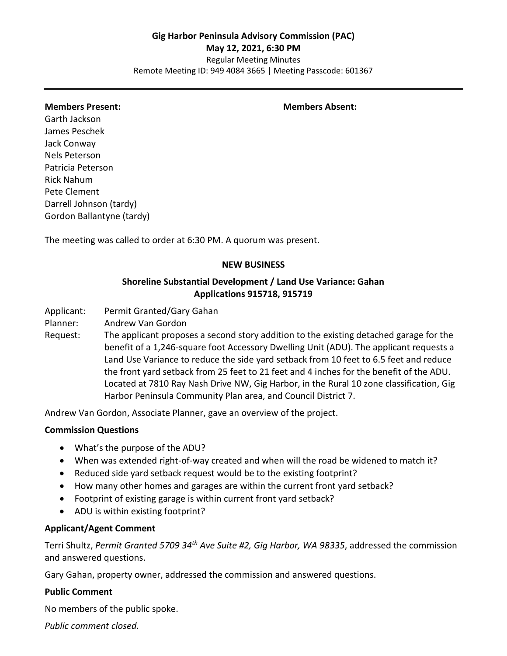Regular Meeting Minutes Remote Meeting ID: 949 4084 3665 | Meeting Passcode: 601367

#### **Members Present: Members Absent:**

Garth Jackson James Peschek Jack Conway Nels Peterson Patricia Peterson Rick Nahum Pete Clement Darrell Johnson (tardy) Gordon Ballantyne (tardy)

The meeting was called to order at 6:30 PM. A quorum was present.

#### **NEW BUSINESS**

## **Shoreline Substantial Development / Land Use Variance: Gahan Applications 915718, 915719**

Applicant: Permit Granted/Gary Gahan

Planner: Andrew Van Gordon

Request: The applicant proposes a second story addition to the existing detached garage for the benefit of a 1,246-square foot Accessory Dwelling Unit (ADU). The applicant requests a Land Use Variance to reduce the side yard setback from 10 feet to 6.5 feet and reduce the front yard setback from 25 feet to 21 feet and 4 inches for the benefit of the ADU. Located at 7810 Ray Nash Drive NW, Gig Harbor, in the Rural 10 zone classification, Gig Harbor Peninsula Community Plan area, and Council District 7.

Andrew Van Gordon, Associate Planner, gave an overview of the project.

#### **Commission Questions**

- What's the purpose of the ADU?
- When was extended right-of-way created and when will the road be widened to match it?
- Reduced side yard setback request would be to the existing footprint?
- How many other homes and garages are within the current front yard setback?
- Footprint of existing garage is within current front yard setback?
- ADU is within existing footprint?

#### **Applicant/Agent Comment**

Terri Shultz, *Permit Granted 5709 34th Ave Suite #2, Gig Harbor, WA 98335*, addressed the commission and answered questions.

Gary Gahan, property owner, addressed the commission and answered questions.

## **Public Comment**

No members of the public spoke.

*Public comment closed.*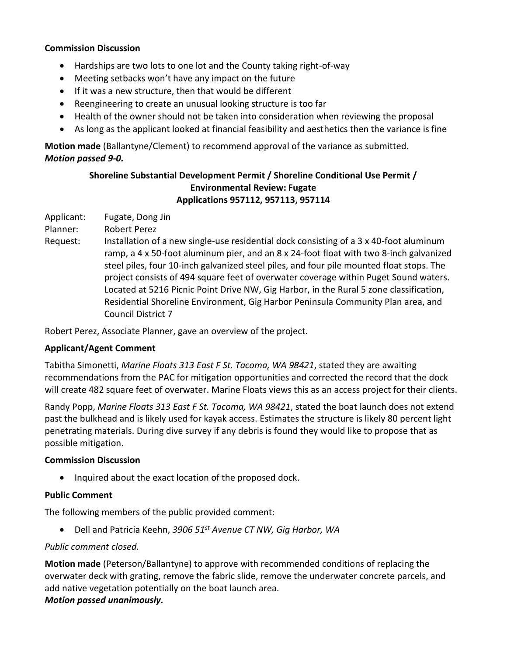## **Commission Discussion**

- Hardships are two lots to one lot and the County taking right-of-way
- Meeting setbacks won't have any impact on the future
- If it was a new structure, then that would be different
- Reengineering to create an unusual looking structure is too far
- Health of the owner should not be taken into consideration when reviewing the proposal
- As long as the applicant looked at financial feasibility and aesthetics then the variance is fine

**Motion made** (Ballantyne/Clement) to recommend approval of the variance as submitted. *Motion passed 9-0.*

# **Shoreline Substantial Development Permit / Shoreline Conditional Use Permit / Environmental Review: Fugate Applications 957112, 957113, 957114**

Applicant: Fugate, Dong Jin

Planner: Robert Perez

Request: Installation of a new single-use residential dock consisting of a 3 x 40-foot aluminum ramp, a 4 x 50-foot aluminum pier, and an 8 x 24-foot float with two 8-inch galvanized steel piles, four 10-inch galvanized steel piles, and four pile mounted float stops. The project consists of 494 square feet of overwater coverage within Puget Sound waters. Located at 5216 Picnic Point Drive NW, Gig Harbor, in the Rural 5 zone classification, Residential Shoreline Environment, Gig Harbor Peninsula Community Plan area, and Council District 7

Robert Perez, Associate Planner, gave an overview of the project.

# **Applicant/Agent Comment**

Tabitha Simonetti, *Marine Floats 313 East F St. Tacoma, WA 98421*, stated they are awaiting recommendations from the PAC for mitigation opportunities and corrected the record that the dock will create 482 square feet of overwater. Marine Floats views this as an access project for their clients.

Randy Popp, *Marine Floats 313 East F St. Tacoma, WA 98421*, stated the boat launch does not extend past the bulkhead and is likely used for kayak access. Estimates the structure is likely 80 percent light penetrating materials. During dive survey if any debris is found they would like to propose that as possible mitigation.

# **Commission Discussion**

• Inquired about the exact location of the proposed dock.

# **Public Comment**

The following members of the public provided comment:

• Dell and Patricia Keehn, *3906 51st Avenue CT NW, Gig Harbor, WA*

## *Public comment closed.*

**Motion made** (Peterson/Ballantyne) to approve with recommended conditions of replacing the overwater deck with grating, remove the fabric slide, remove the underwater concrete parcels, and add native vegetation potentially on the boat launch area. *Motion passed unanimously.*